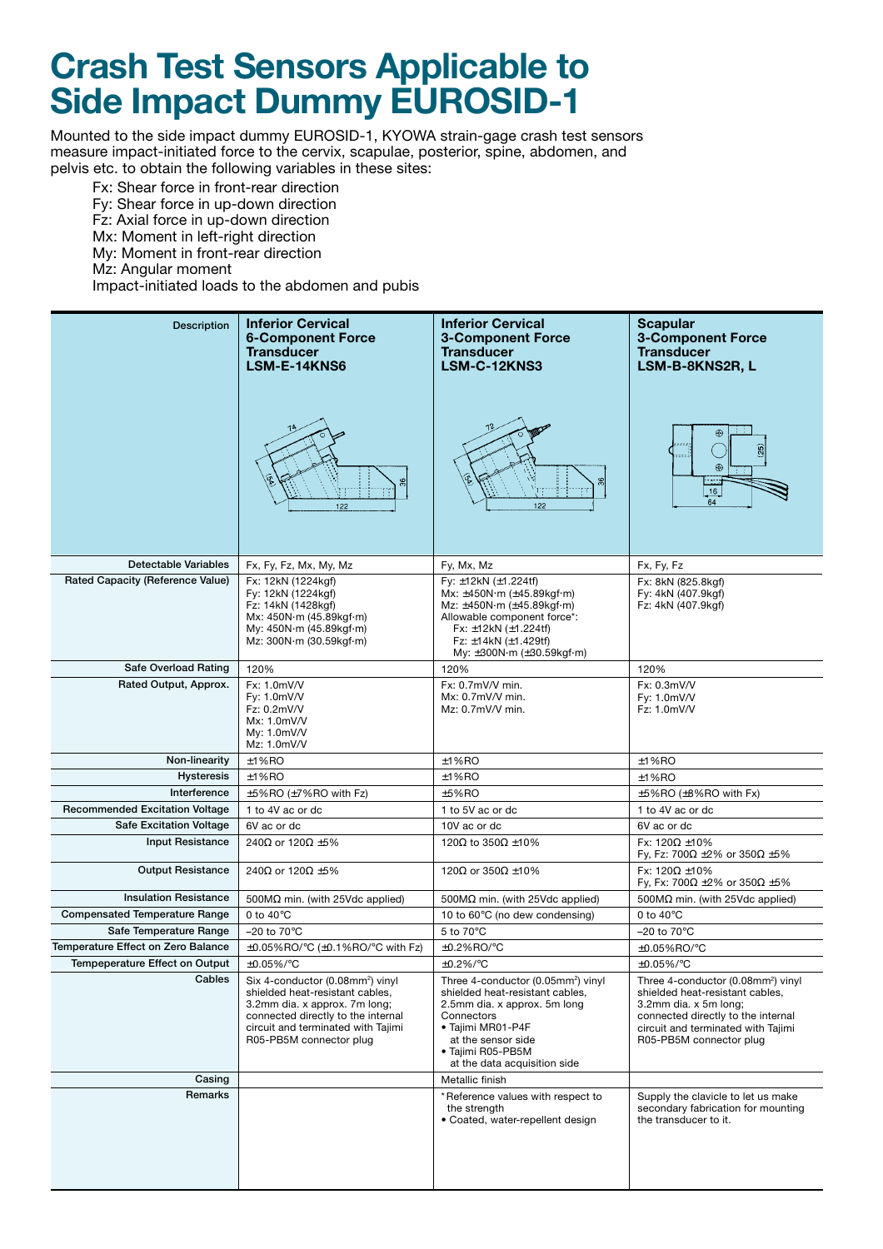## **Crash Test Sensors Applicable to Side Impact Dummy EUROSID-1**

Mounted to the side impact dummy EUROSID-1, KYOWA strain-gage crash test sensors measure impact-initiated force to the cervix, scapulae, posterior, spine, abdomen, and pelvis etc. to obtain the following variables in these sites:

Fx: Shear force in front-rear direction

- Fy: Shear force in up-down direction
- Fz: Axial force in up-down direction
- Mx: Moment in left-right direction
- My: Moment in front-rear direction
- Mz: Angular moment

Impact-initiated loads to the abdomen and pubis

| <b>Description</b>                    | <b>Inferior Cervical</b><br><b>6-Component Force</b><br><b>Transducer</b><br>LSM-E-14KNS6<br>122                                                                                                                        | <b>Inferior Cervical</b><br><b>3-Component Force</b><br><b>Transducer</b><br>LSM-C-12KNS3<br>12<br>122                                                                                                                                                                                                 | <b>Scapular</b><br><b>3-Component Force</b><br><b>Transducer</b><br>LSM-B-8KNS2R, L<br>⊕<br>(25)<br>$\bigoplus$<br>16<br>64                                                                                       |
|---------------------------------------|-------------------------------------------------------------------------------------------------------------------------------------------------------------------------------------------------------------------------|--------------------------------------------------------------------------------------------------------------------------------------------------------------------------------------------------------------------------------------------------------------------------------------------------------|-------------------------------------------------------------------------------------------------------------------------------------------------------------------------------------------------------------------|
| Detectable Variables                  | Fx, Fy, Fz, Mx, My, Mz                                                                                                                                                                                                  | Fy, Mx, Mz                                                                                                                                                                                                                                                                                             | Fx, Fy, Fz                                                                                                                                                                                                        |
| Rated Capacity (Reference Value)      | Fx: 12kN (1224kgf)<br>Fy: 12kN (1224kgf)<br>Fz: 14kN (1428kgf)<br>Mx: 450N·m (45.89kgf·m)<br>My: 450N·m (45.89kgf·m)<br>Mz: 300N m (30.59kgf m)                                                                         | Fy: $\pm$ 12kN ( $\pm$ 1.224tf)<br>Mx: $\pm 450N \cdot m$ ( $\pm 45.89kgf \cdot m$ )<br>Mz: $\pm 450N \cdot m$ ( $\pm 45.89k$ gf $\cdot m$ )<br>Allowable component force*:<br>Fx: $\pm$ 12kN ( $\pm$ 1.224tf)<br>Fz: $\pm$ 14kN ( $\pm$ 1.429tf)<br>My: $\pm 300N \cdot m$ ( $\pm 30.59kgf \cdot m$ ) | Fx: 8kN (825.8kgf)<br>Fy: 4kN (407.9kgf)<br>Fz: 4kN (407.9kgf)                                                                                                                                                    |
| Safe Overload Rating                  | 120%                                                                                                                                                                                                                    | 120%                                                                                                                                                                                                                                                                                                   | 120%                                                                                                                                                                                                              |
| Rated Output, Approx.                 | Fx: 1.0mV/V<br>Fy: 1.0mV/V<br>Fz: 0.2mV/V<br>Mx: 1.0mV/V<br>My: 1.0mV/V<br>Mz: 1.0mV/V                                                                                                                                  | Fx: 0.7mV/V min.<br>$Mx: 0.7mV/V$ min.<br>$Mz: 0.7mV/V$ min.                                                                                                                                                                                                                                           | Fx: 0.3mV/V<br>Fy: 1.0mV/V<br>Fz: 1.0mV/V                                                                                                                                                                         |
| Non-linearity                         | $±1%$ RO                                                                                                                                                                                                                | $±1%$ RO                                                                                                                                                                                                                                                                                               | $±1%$ RO                                                                                                                                                                                                          |
| Hysteresis                            | $±1%$ RO                                                                                                                                                                                                                | $±1%$ RO                                                                                                                                                                                                                                                                                               | $±1%$ RO                                                                                                                                                                                                          |
| Interference                          | $\pm$ 5%RO ( $\pm$ 7%RO with Fz)                                                                                                                                                                                        | ±5%RO                                                                                                                                                                                                                                                                                                  | $\pm 5\%$ RO ( $\pm 8\%$ RO with Fx)                                                                                                                                                                              |
| <b>Recommended Excitation Voltage</b> | 1 to 4V ac or dc                                                                                                                                                                                                        | 1 to 5V ac or dc                                                                                                                                                                                                                                                                                       | 1 to 4V ac or dc                                                                                                                                                                                                  |
| <b>Safe Excitation Voltage</b>        | 6V ac or dc                                                                                                                                                                                                             | 10V ac or dc                                                                                                                                                                                                                                                                                           | 6V ac or dc                                                                                                                                                                                                       |
| <b>Input Resistance</b>               | 240Ω or 120Ω ±5%                                                                                                                                                                                                        | 120 $\Omega$ to 350 $\Omega \pm 10\%$                                                                                                                                                                                                                                                                  | Fx: $120\Omega \pm 10\%$<br>Fy, Fz: 700 $\Omega$ ±2% or 350 $\Omega$ ±5%                                                                                                                                          |
| <b>Output Resistance</b>              | 240 $\Omega$ or 120 $\Omega$ ±5%                                                                                                                                                                                        | 120 $\Omega$ or 350 $\Omega \pm 10\%$                                                                                                                                                                                                                                                                  | Fx: $120\Omega \pm 10\%$<br>Fy, Fx: 700 $\Omega$ ±2% or 350 $\Omega$ ±5%                                                                                                                                          |
| <b>Insulation Resistance</b>          | 500 $M\Omega$ min. (with 25Vdc applied)                                                                                                                                                                                 | 500 $M\Omega$ min. (with 25Vdc applied)                                                                                                                                                                                                                                                                | 500M $\Omega$ min. (with 25Vdc applied)                                                                                                                                                                           |
| <b>Compensated Temperature Range</b>  | 0 to $40^{\circ}$ C                                                                                                                                                                                                     | 10 to 60°C (no dew condensing)                                                                                                                                                                                                                                                                         | 0 to $40^{\circ}$ C                                                                                                                                                                                               |
| Safe Temperature Range                | $-20$ to $70^{\circ}$ C                                                                                                                                                                                                 | 5 to 70°C                                                                                                                                                                                                                                                                                              | $-20$ to $70^{\circ}$ C                                                                                                                                                                                           |
| Temperature Effect on Zero Balance    | $\pm$ 0.05%RO/°C ( $\pm$ 0.1%RO/°C with Fz)                                                                                                                                                                             | $\pm$ 0.2%RO/°C                                                                                                                                                                                                                                                                                        | ±0.05%RO/°C                                                                                                                                                                                                       |
| Tempeperature Effect on Output        | ±0.05%/°C                                                                                                                                                                                                               | $±0.2\%$ /°C                                                                                                                                                                                                                                                                                           | ±0.05%/°C                                                                                                                                                                                                         |
| Cables                                | Six 4-conductor (0.08mm <sup>2</sup> ) vinyl<br>shielded heat-resistant cables,<br>3.2mm dia. x approx. 7m long;<br>connected directly to the internal<br>circuit and terminated with Tajimi<br>R05-PB5M connector plug | Three 4-conductor (0.05mm <sup>2</sup> ) vinyl<br>shielded heat-resistant cables,<br>2.5mm dia. x approx. 5m long<br>Connectors<br>• Tajimi MR01-P4F<br>at the sensor side<br>• Tajimi R05-PB5M<br>at the data acquisition side                                                                        | Three 4-conductor (0.08mm <sup>2</sup> ) vinyl<br>shielded heat-resistant cables,<br>3.2mm dia. x 5m long;<br>connected directly to the internal<br>circuit and terminated with Tajimi<br>R05-PB5M connector plug |
| Casing                                |                                                                                                                                                                                                                         | Metallic finish                                                                                                                                                                                                                                                                                        |                                                                                                                                                                                                                   |
| Remarks                               |                                                                                                                                                                                                                         | *Reference values with respect to<br>the strength<br>• Coated, water-repellent design                                                                                                                                                                                                                  | Supply the clavicle to let us make<br>secondary fabrication for mounting<br>the transducer to it.                                                                                                                 |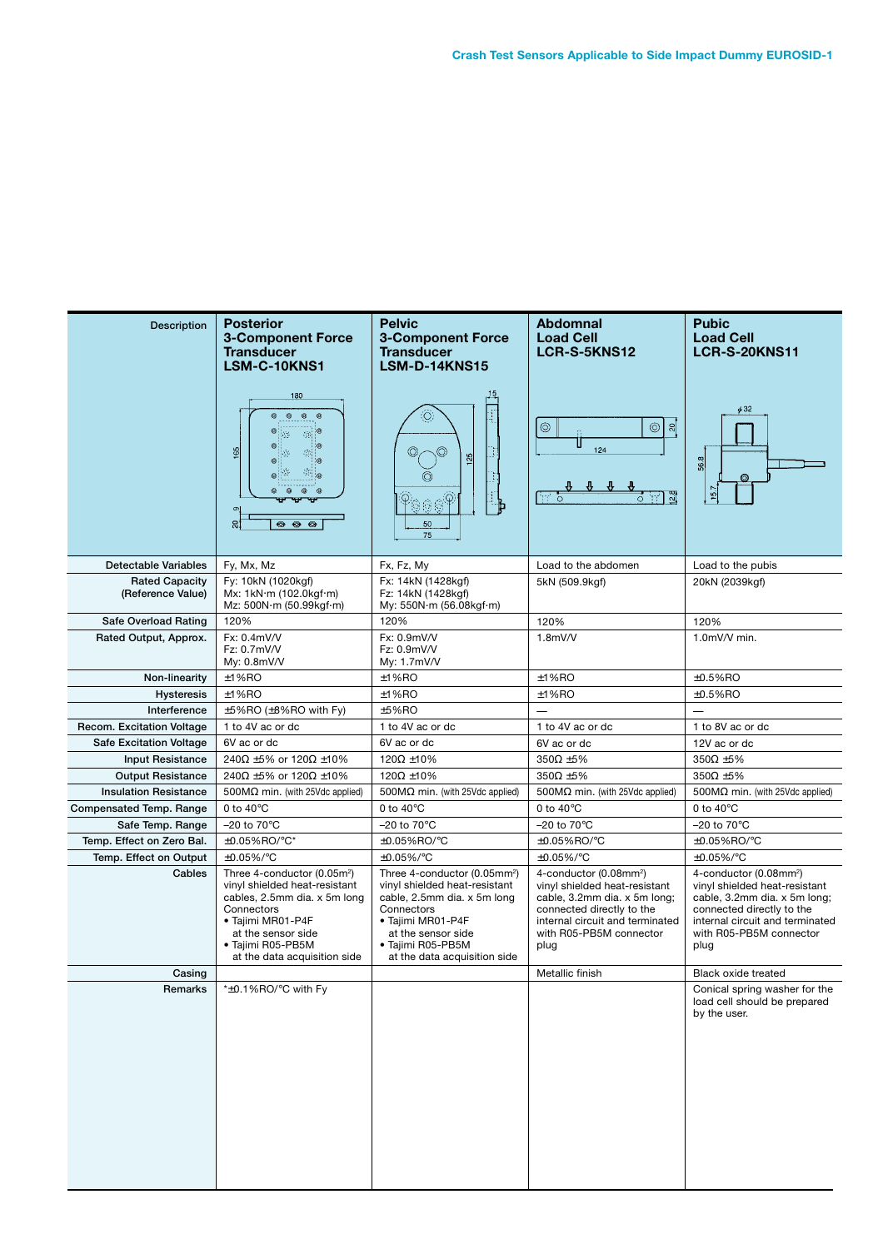| <b>Posterior</b><br><b>3-Component Force</b><br><b>Transducer</b><br>LSM-C-10KNS1                                                                                                                                      | <b>Pelvic</b><br><b>3-Component Force</b><br><b>Transducer</b><br><b>LSM-D-14KNS15</b>                                                                                                                                                                                                                                        | <b>Abdomnal</b><br><b>Load Cell</b><br>LCR-S-5KNS12                                                                                                                                                                                                                                 | <b>Pubic</b><br><b>Load Cell</b><br><b>LCR-S-20KNS11</b>                                                                                                                                                           |
|------------------------------------------------------------------------------------------------------------------------------------------------------------------------------------------------------------------------|-------------------------------------------------------------------------------------------------------------------------------------------------------------------------------------------------------------------------------------------------------------------------------------------------------------------------------|-------------------------------------------------------------------------------------------------------------------------------------------------------------------------------------------------------------------------------------------------------------------------------------|--------------------------------------------------------------------------------------------------------------------------------------------------------------------------------------------------------------------|
| $\odot$<br>$_{\odot}$<br>. C<br>徳<br>' ග<br>$\frac{165}{2}$<br>$\mathcal{C}_{\mathcal{P}}$<br>$\mathbb{C}^n$ o<br>$^{\circ}$<br>$^{\circ}$<br>$\sigma$<br>ន <br>$\begin{array}{ccc} \circ & \circ & \circ \end{array}$ | $\langle \bigcirc \rangle$<br>$\frac{25}{2}$<br>⊚<br>稳意商<br>50<br>75                                                                                                                                                                                                                                                          | ୍ଗ<br>$\circledcirc$<br>$\circledcirc$<br>124<br>꽭<br>$\mathcal{M}^{\mathcal{C}}$<br>17 I<br>$\circ$<br>$\circ$                                                                                                                                                                     | $\phi$ 32<br>56.8<br>15.7                                                                                                                                                                                          |
| Fy, Mx, Mz                                                                                                                                                                                                             | Fx, Fz, My                                                                                                                                                                                                                                                                                                                    | Load to the abdomen                                                                                                                                                                                                                                                                 | Load to the pubis                                                                                                                                                                                                  |
| Mx: 1kN·m (102.0kgf·m)<br>Mz: 500N·m (50.99kgf·m)                                                                                                                                                                      | Fz: 14kN (1428kgf)<br>My: 550N·m (56.08kgf·m)                                                                                                                                                                                                                                                                                 | 5kN (509.9kgf)                                                                                                                                                                                                                                                                      | 20kN (2039kgf)                                                                                                                                                                                                     |
| 120%                                                                                                                                                                                                                   | 120%                                                                                                                                                                                                                                                                                                                          | 120%                                                                                                                                                                                                                                                                                | 120%                                                                                                                                                                                                               |
| Fx: 0.4mV/V<br>Fz: 0.7mV/V<br>My: $0.8$ mV/V                                                                                                                                                                           | Fx: 0.9mV/V<br>Fz: 0.9mV/V<br>My: 1.7mV/V                                                                                                                                                                                                                                                                                     | 1.8mV/V                                                                                                                                                                                                                                                                             | $1.0mV/V$ min.                                                                                                                                                                                                     |
| ±1%RO                                                                                                                                                                                                                  | ±1%RO                                                                                                                                                                                                                                                                                                                         | $±1%$ RO                                                                                                                                                                                                                                                                            | ±0.5%RO                                                                                                                                                                                                            |
|                                                                                                                                                                                                                        |                                                                                                                                                                                                                                                                                                                               |                                                                                                                                                                                                                                                                                     | $±0.5%$ RO                                                                                                                                                                                                         |
|                                                                                                                                                                                                                        |                                                                                                                                                                                                                                                                                                                               |                                                                                                                                                                                                                                                                                     | $\overline{\phantom{0}}$                                                                                                                                                                                           |
|                                                                                                                                                                                                                        |                                                                                                                                                                                                                                                                                                                               |                                                                                                                                                                                                                                                                                     | 1 to 8V ac or dc                                                                                                                                                                                                   |
|                                                                                                                                                                                                                        |                                                                                                                                                                                                                                                                                                                               |                                                                                                                                                                                                                                                                                     | 12V ac or dc                                                                                                                                                                                                       |
|                                                                                                                                                                                                                        |                                                                                                                                                                                                                                                                                                                               |                                                                                                                                                                                                                                                                                     | $350\Omega \pm 5\%$                                                                                                                                                                                                |
|                                                                                                                                                                                                                        |                                                                                                                                                                                                                                                                                                                               |                                                                                                                                                                                                                                                                                     | $350\Omega \pm 5\%$                                                                                                                                                                                                |
|                                                                                                                                                                                                                        |                                                                                                                                                                                                                                                                                                                               |                                                                                                                                                                                                                                                                                     | 500 $M\Omega$ min. (with 25Vdc applied)                                                                                                                                                                            |
|                                                                                                                                                                                                                        |                                                                                                                                                                                                                                                                                                                               |                                                                                                                                                                                                                                                                                     | 0 to $40^{\circ}$ C                                                                                                                                                                                                |
|                                                                                                                                                                                                                        |                                                                                                                                                                                                                                                                                                                               |                                                                                                                                                                                                                                                                                     | $-20$ to $70^{\circ}$ C                                                                                                                                                                                            |
|                                                                                                                                                                                                                        |                                                                                                                                                                                                                                                                                                                               |                                                                                                                                                                                                                                                                                     | ±0.05%RO/°C<br>±0.05%/°C                                                                                                                                                                                           |
| Three 4-conductor (0.05m <sup>2</sup> )<br>vinyl shielded heat-resistant<br>cables, 2.5mm dia. x 5m long<br>Connectors<br>· Tajimi MR01-P4F<br>at the sensor side<br>· Tajimi R05-PB5M                                 | Three 4-conductor (0.05mm <sup>2</sup> )<br>vinyl shielded heat-resistant<br>cable, 2.5mm dia. x 5m long<br>Connectors<br>· Tajimi MR01-P4F<br>at the sensor side<br>· Tajimi R05-PB5M                                                                                                                                        | 4-conductor (0.08mm <sup>2</sup> )<br>vinyl shielded heat-resistant<br>cable, 3.2mm dia. x 5m long;<br>connected directly to the<br>internal circuit and terminated<br>with R05-PB5M connector<br>plug                                                                              | 4-conductor (0.08mm <sup>2</sup> )<br>vinyl shielded heat-resistant<br>cable, 3.2mm dia. x 5m long;<br>connected directly to the<br>internal circuit and terminated<br>with R05-PB5M connector<br>plug             |
|                                                                                                                                                                                                                        |                                                                                                                                                                                                                                                                                                                               | Metallic finish                                                                                                                                                                                                                                                                     | <b>Black oxide treated</b>                                                                                                                                                                                         |
| *±0.1%RO/°C with Fy                                                                                                                                                                                                    |                                                                                                                                                                                                                                                                                                                               |                                                                                                                                                                                                                                                                                     | Conical spring washer for the<br>load cell should be prepared<br>by the user.                                                                                                                                      |
|                                                                                                                                                                                                                        | 180<br>Fy: 10kN (1020kgf)<br>$±1%$ RO<br>±5%RO (±8%RO with Fy)<br>1 to 4V ac or dc<br>6V ac or dc<br>240Ω ±5% or 120Ω ±10%<br>240 $\Omega$ ±5% or 120 $\Omega$ ±10%<br>500 $M\Omega$ min. (with 25Vdc applied)<br>0 to $40^{\circ}$ C<br>$-20$ to $70^{\circ}$ C<br>±0.05%RO/°C*<br>±0.05%/°C<br>at the data acquisition side | Fx: 14kN (1428kgf)<br>$±1%$ RO<br>$±5%$ RO<br>1 to 4V ac or dc<br>6V ac or dc<br>120 $\Omega$ ±10%<br>$120\Omega \pm 10\%$<br>500 $M\Omega$ min. (with 25Vdc applied)<br>0 to $40^{\circ}$ C<br>$-20$ to $70^{\circ}$ C<br>±0.05%RO/°C<br>±0.05%/°C<br>at the data acquisition side | $±1%$ RO<br>1 to 4V ac or dc<br>6V ac or dc<br>$350\Omega \pm 5\%$<br>$350\Omega \pm 5\%$<br>500 $M\Omega$ min. (with 25Vdc applied)<br>0 to $40^{\circ}$ C<br>$-20$ to $70^{\circ}$ C<br>±0.05%RO/°C<br>±0.05%/°C |